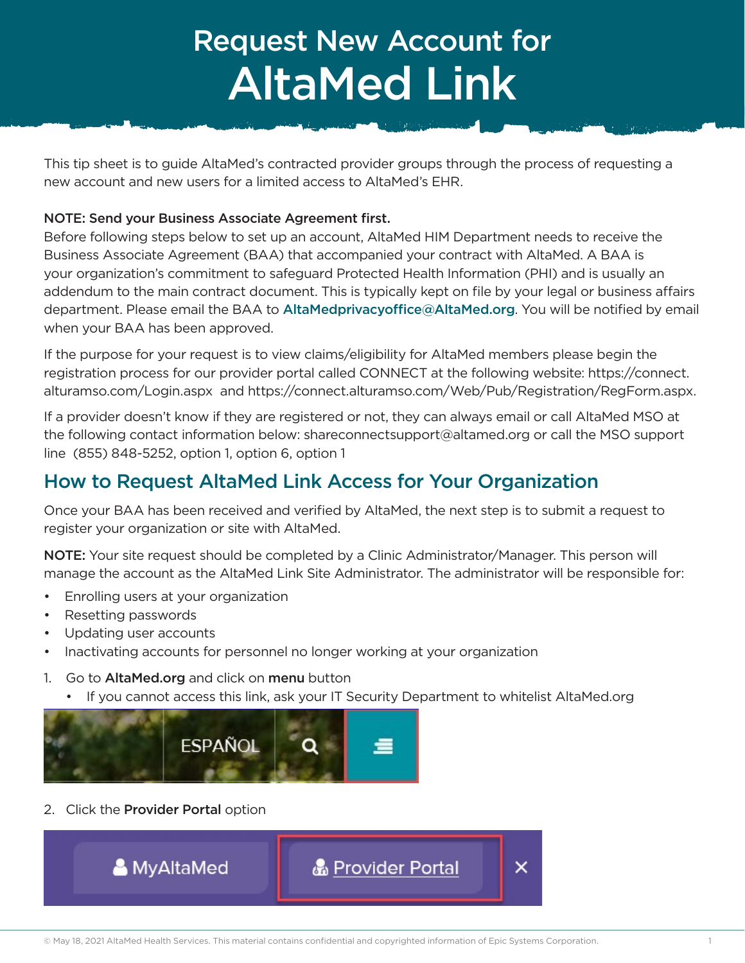# Request New Account for AltaMed Link

This tip sheet is to guide AltaMed's contracted provider groups through the process of requesting a new account and new users for a limited access to AltaMed's EHR.

#### NOTE: Send your Business Associate Agreement first.

Before following steps below to set up an account, AltaMed HIM Department needs to receive the Business Associate Agreement (BAA) that accompanied your contract with AltaMed. A BAA is your organization's commitment to safeguard Protected Health Information (PHI) and is usually an addendum to the main contract document. This is typically kept on file by your legal or business affairs department. Please email the BAA to AltaMedprivacyoffice@AltaMed.org. You will be notified by email when your BAA has been approved.

If the purpose for your request is to view claims/eligibility for AltaMed members please begin the registration process for our provider portal called CONNECT at the following website: https://connect. alturamso.com/Login.aspx and https://connect.alturamso.com/Web/Pub/Registration/RegForm.aspx.

If a provider doesn't know if they are registered or not, they can always email or call AltaMed MSO at the following contact information below: shareconnectsupport@altamed.org or call the MSO support line (855) 848-5252, option 1, option 6, option 1

## How to Request AltaMed Link Access for Your Organization

Once your BAA has been received and verified by AltaMed, the next step is to submit a request to register your organization or site with AltaMed.

NOTE: Your site request should be completed by a Clinic Administrator/Manager. This person will manage the account as the AltaMed Link Site Administrator. The administrator will be responsible for:

- Enrolling users at your organization
- Resetting passwords
- Updating user accounts
- Inactivating accounts for personnel no longer working at your organization
- 1. Go to **AltaMed.org** and click on **menu** button
	- If you cannot access this link, ask your IT Security Department to whitelist AltaMed.org



2. Click the Provider Portal option

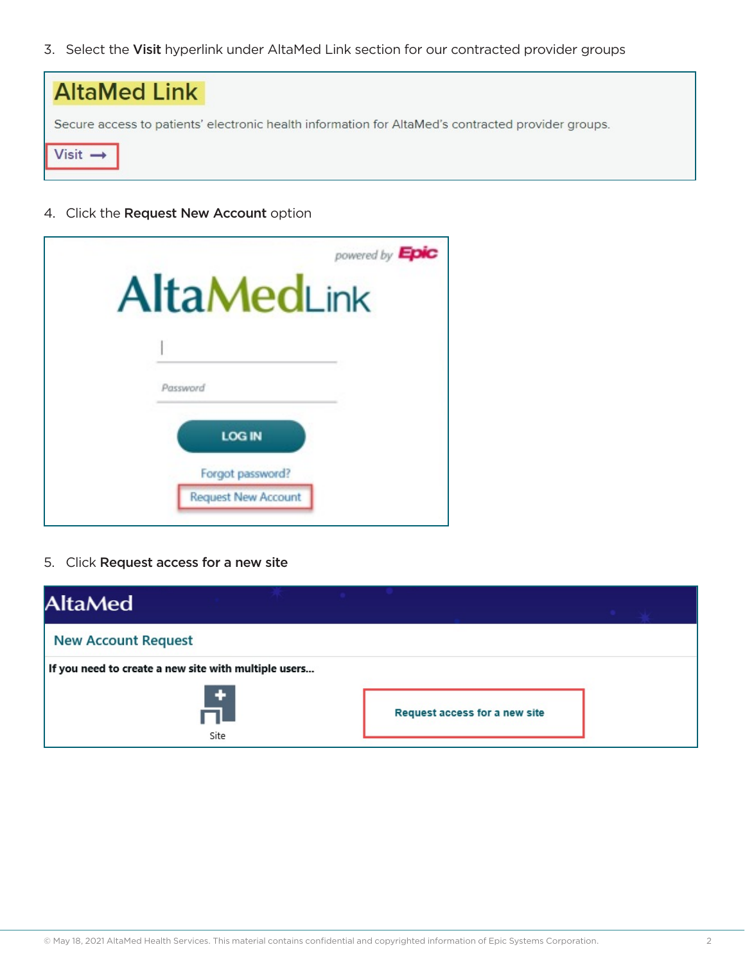3. Select the Visit hyperlink under AltaMed Link section for our contracted provider groups



4. Click the Request New Account option

| powered by Epic<br><b>AltaMedLink</b>          |
|------------------------------------------------|
| Password                                       |
| <b>LOG IN</b>                                  |
| Forgot password?<br><b>Request New Account</b> |

5. Click Request access for a new site

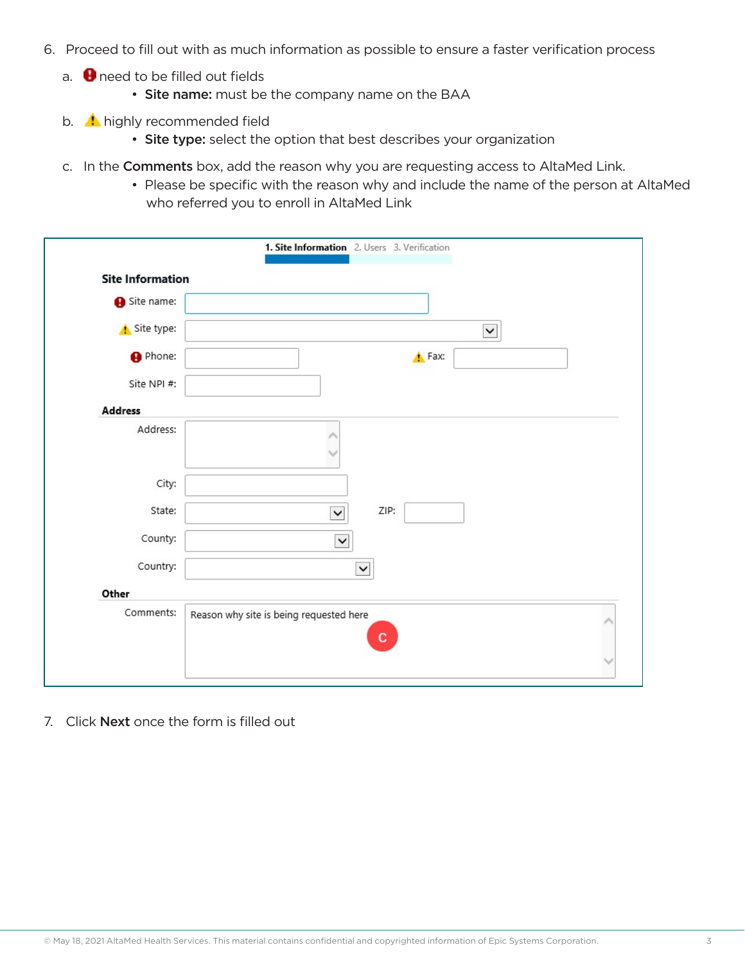- 6. Proceed to fill out with as much information as possible to ensure a faster verification process
	- a.  $\bigoplus$  need to be filled out fields
		- Site name: must be the company name on the BAA
	- b. **h**ighly recommended field
		- Site type: select the option that best describes your organization
	- c. In the Comments box, add the reason why you are requesting access to AltaMed Link.
		- Please be specific with the reason why and include the name of the person at AltaMed who referred you to enroll in AltaMed Link

| <b>Site Information</b> |                                              |
|-------------------------|----------------------------------------------|
| Site name:              |                                              |
| Site type:              | $\check{~}$                                  |
| <b>O</b> Phone:         | <b>A</b> Fax:                                |
| Site NPI #:             |                                              |
| <b>Address</b>          |                                              |
| Address:                |                                              |
| City:                   |                                              |
| State:                  | ZIP:<br>$\checkmark$                         |
| County:                 | $\checkmark$                                 |
| Country:                | $\checkmark$                                 |
| Other                   |                                              |
| Comments:               | Reason why site is being requested here<br>c |

7. Click **Next** once the form is filled out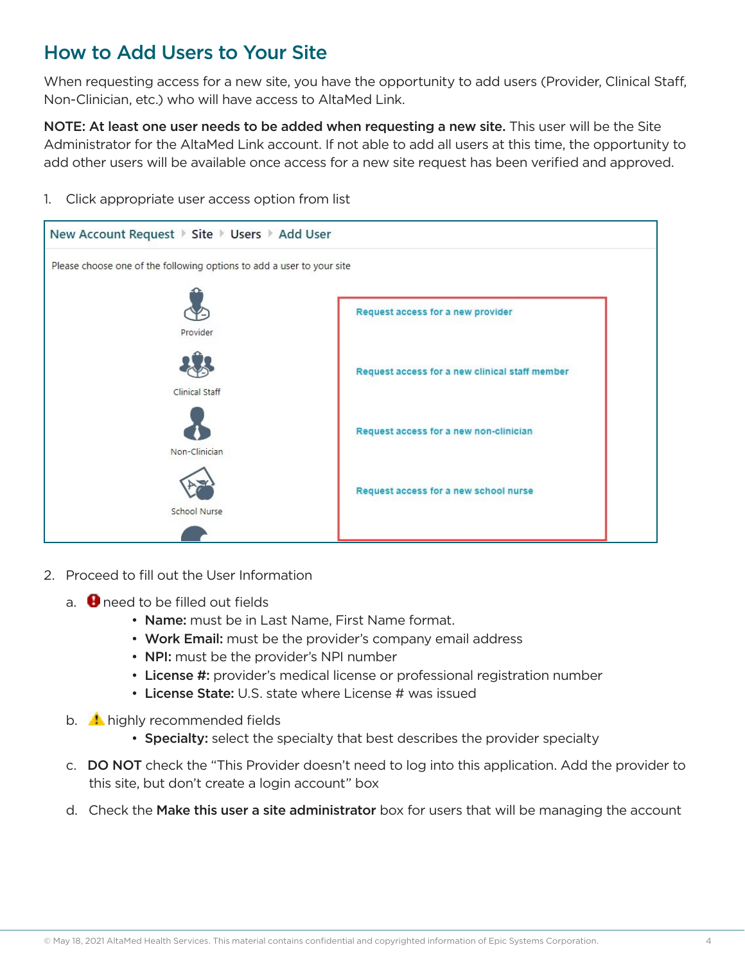### How to Add Users to Your Site

When requesting access for a new site, you have the opportunity to add users (Provider, Clinical Staff, Non-Clinician, etc.) who will have access to AltaMed Link.

NOTE: At least one user needs to be added when requesting a new site. This user will be the Site Administrator for the AltaMed Link account. If not able to add all users at this time, the opportunity to add other users will be available once access for a new site request has been verified and approved.

1. Click appropriate user access option from list



- 2. Proceed to fill out the User Information
	- a.  $\bigoplus$  need to be filled out fields
		- Name: must be in Last Name, First Name format.
		- Work Email: must be the provider's company email address
		- NPI: must be the provider's NPI number
		- License #: provider's medical license or professional registration number
		- License State: U.S. state where License # was issued
	- b.  $\blacksquare$  highly recommended fields
		- Specialty: select the specialty that best describes the provider specialty
	- c. DO NOT check the "This Provider doesn't need to log into this application. Add the provider to this site, but don't create a login account" box
	- d. Check the Make this user a site administrator box for users that will be managing the account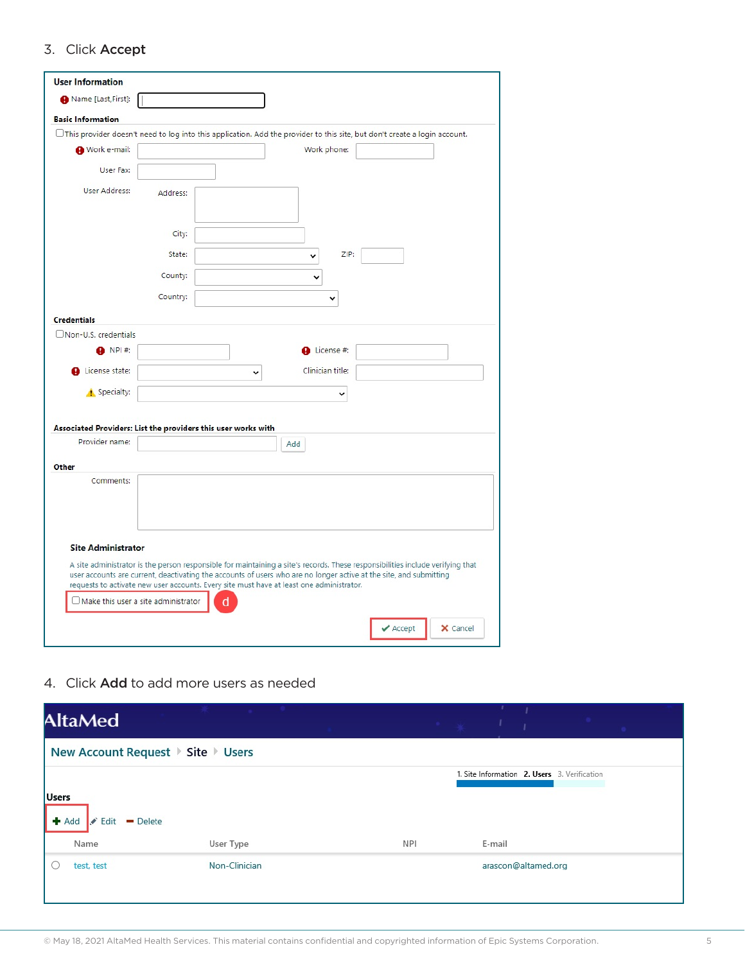#### 3. Click Accept

| Name [Last, First]:                                                                      |          |   |                  |                                                                                                                                  |
|------------------------------------------------------------------------------------------|----------|---|------------------|----------------------------------------------------------------------------------------------------------------------------------|
| <b>Basic Information</b>                                                                 |          |   |                  |                                                                                                                                  |
|                                                                                          |          |   |                  | $\Box$ This provider doesn't need to log into this application. Add the provider to this site, but don't create a login account. |
| Work e-mail:                                                                             |          |   | Work phone:      |                                                                                                                                  |
|                                                                                          |          |   |                  |                                                                                                                                  |
| User Fax:                                                                                |          |   |                  |                                                                                                                                  |
| <b>User Address:</b>                                                                     | Address: |   |                  |                                                                                                                                  |
|                                                                                          | City:    |   |                  |                                                                                                                                  |
|                                                                                          | State:   |   | ZIP:<br>◡        |                                                                                                                                  |
|                                                                                          | County:  |   |                  |                                                                                                                                  |
|                                                                                          | Country: |   |                  |                                                                                                                                  |
| <b>Credentials</b>                                                                       |          |   |                  |                                                                                                                                  |
| Non-U.S. credentials                                                                     |          |   |                  |                                                                                                                                  |
| NPI #:                                                                                   |          |   | License #:       |                                                                                                                                  |
| License state:                                                                           |          | v | Clinician title: |                                                                                                                                  |
| Specialty:                                                                               |          |   |                  |                                                                                                                                  |
| Associated Providers: List the providers this user works with                            |          |   |                  |                                                                                                                                  |
| Provider name:                                                                           |          |   | Add              |                                                                                                                                  |
| Other<br>Comments:                                                                       |          |   |                  |                                                                                                                                  |
|                                                                                          |          |   |                  |                                                                                                                                  |
|                                                                                          |          |   |                  |                                                                                                                                  |
| <b>Site Administrator</b>                                                                |          |   |                  | A site administrator is the person responsible for maintaining a site's records. These responsibilities include verifying that   |
| requests to activate new user accounts. Every site must have at least one administrator. |          |   |                  | user accounts are current, deactivating the accounts of users who are no longer active at the site, and submitting               |
| $\Box$ Make this user a site administrator                                               |          |   |                  |                                                                                                                                  |

4. Click Add to add more users as needed

| <b>AltaMed</b>                       |               |            |        |                     |                                              |
|--------------------------------------|---------------|------------|--------|---------------------|----------------------------------------------|
| New Account Request ▶ Site ▶ Users   |               |            |        |                     |                                              |
|                                      |               |            |        |                     | 1. Site Information 2. Users 3. Verification |
| <b>Users</b>                         |               |            |        |                     |                                              |
| $+$ Add<br>$\angle$ Edit<br>- Delete |               |            |        |                     |                                              |
| Name                                 | User Type     | <b>NPI</b> | E-mail |                     |                                              |
| test, test                           | Non-Clinician |            |        | arascon@altamed.org |                                              |
|                                      |               |            |        |                     |                                              |